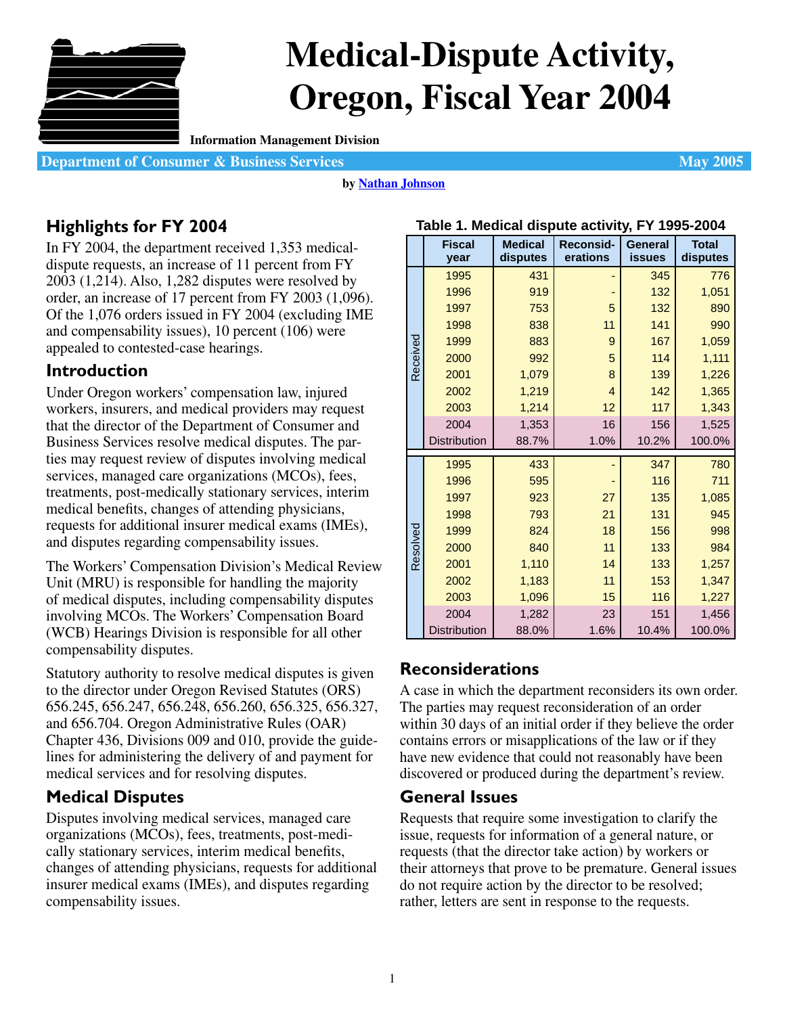

# **Medical-Dispute Activity, Oregon, Fiscal Year 2004**

**Information Management Division**

**Department of Consumer & Business Services May 2005** 

#### **by [Nathan Johnson](mailto:nathan.johnson@state.or.us)**

# **Highlights for FY 2004**

In FY 2004, the department received 1,353 medicaldispute requests, an increase of 11 percent from FY 2003 (1,214). Also, 1,282 disputes were resolved by order, an increase of 17 percent from FY 2003 (1,096). Of the 1,076 orders issued in FY 2004 (excluding IME and compensability issues), 10 percent (106) were appealed to contested-case hearings.

# **Introduction**

Under Oregon workers' compensation law, injured workers, insurers, and medical providers may request that the director of the Department of Consumer and Business Services resolve medical disputes. The parties may request review of disputes involving medical services, managed care organizations (MCOs), fees, treatments, post-medically stationary services, interim medical benefits, changes of attending physicians, requests for additional insurer medical exams (IMEs), and disputes regarding compensability issues.

The Workers' Compensation Division's Medical Review Unit (MRU) is responsible for handling the majority of medical disputes, including compensability disputes involving MCOs. The Workers' Compensation Board (WCB) Hearings Division is responsible for all other compensability disputes.

Statutory authority to resolve medical disputes is given to the director under Oregon Revised Statutes (ORS) 656.245, 656.247, 656.248, 656.260, 656.325, 656.327, and 656.704. Oregon Administrative Rules (OAR) Chapter 436, Divisions 009 and 010, provide the guidelines for administering the delivery of and payment for medical services and for resolving disputes.

# **Medical Disputes**

Disputes involving medical services, managed care organizations (MCOs), fees, treatments, post-medically stationary services, interim medical benefits, changes of attending physicians, requests for additional insurer medical exams (IMEs), and disputes regarding compensability issues.

|          | .                     |                            | ncuivai uiopule aetrrity, r |                          |                          |
|----------|-----------------------|----------------------------|-----------------------------|--------------------------|--------------------------|
|          | <b>Fiscal</b><br>year | <b>Medical</b><br>disputes | Reconsid-<br>erations       | General<br><b>issues</b> | <b>Total</b><br>disputes |
|          | 1995                  | 431                        |                             | 345                      | 776                      |
|          | 1996                  | 919                        |                             | 132                      | 1,051                    |
|          | 1997                  | 753                        | 5                           | 132                      | 890                      |
|          | 1998                  | 838                        | 11                          | 141                      | 990                      |
|          | 1999                  | 883                        | 9                           | 167                      | 1,059                    |
| Received | 2000                  | 992                        | 5                           | 114                      | 1,111                    |
|          | 2001                  | 1,079                      | 8                           | 139                      | 1,226                    |
|          | 2002                  | 1,219                      | $\overline{4}$              | 142                      | 1,365                    |
|          | 2003                  | 1,214                      | 12                          |                          | 1,343                    |
|          | 2004                  | 1,353                      | 16                          | 156                      | 1,525                    |
|          | <b>Distribution</b>   | 88.7%                      | 1.0%                        | 10.2%                    | 100.0%                   |
|          | 1995                  | 433                        |                             | 347                      | 780                      |
|          | 1996                  | 595                        |                             | 116                      | 711                      |
|          | 1997                  | 923                        | 27                          | 135                      | 1,085                    |
|          | 1998                  | 793                        | 21                          | 131                      | 945                      |
|          | 1999                  | 824                        | 18                          | 156                      | 998                      |
| Resolved | 2000                  | 840                        | 11                          | 133                      | 984                      |
|          | 2001                  | 1,110                      | 14                          | 133                      | 1,257                    |
|          | 2002                  | 1,183                      | 11                          | 153                      | 1,347                    |
|          | 2003                  | 1,096                      | 15                          | 116                      | 1,227                    |
|          | 2004                  | 1,282                      | 23                          | 151                      | 1,456                    |
|          | Distribution          | 88.0%                      | 1.6%                        | 10.4%                    | 100.0%                   |

### **Table 1. Medical dispute activity, FY 1995-2004**

# **Reconsiderations**

A case in which the department reconsiders its own order. The parties may request reconsideration of an order within 30 days of an initial order if they believe the order contains errors or misapplications of the law or if they have new evidence that could not reasonably have been discovered or produced during the department's review.

## **General Issues**

Requests that require some investigation to clarify the issue, requests for information of a general nature, or requests (that the director take action) by workers or their attorneys that prove to be premature. General issues do not require action by the director to be resolved; rather, letters are sent in response to the requests.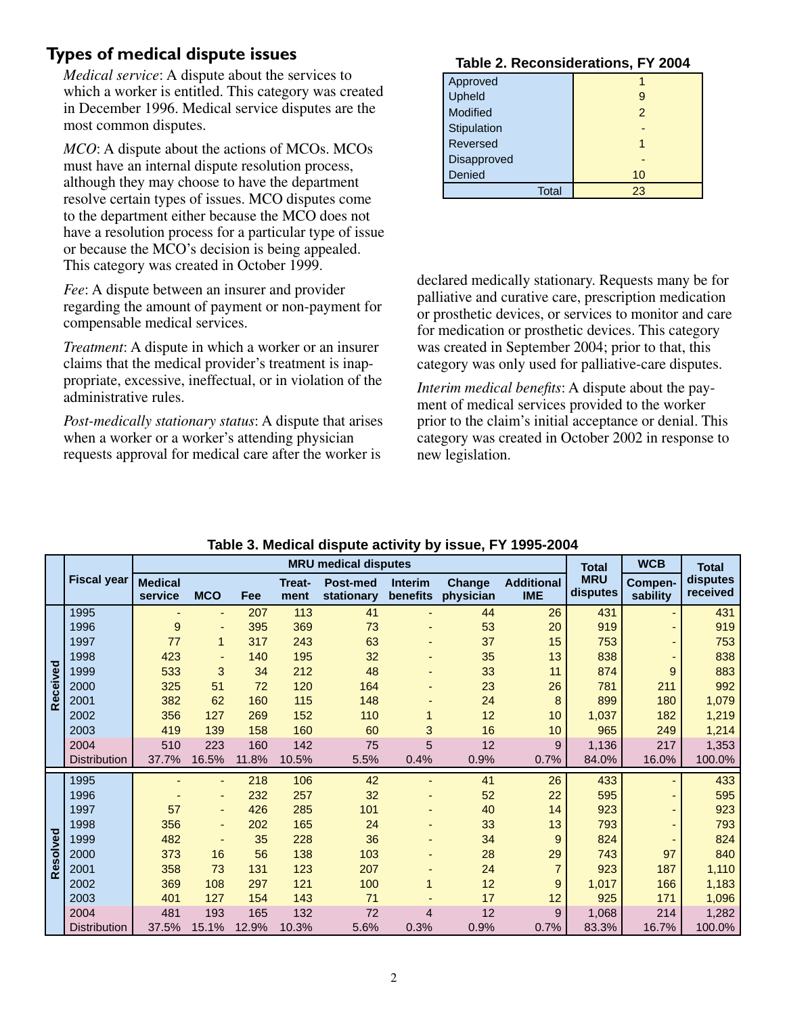## **Types of medical dispute issues**

*Medical service*: A dispute about the services to which a worker is entitled. This category was created in December 1996. Medical service disputes are the most common disputes.

*MCO*: A dispute about the actions of MCOs. MCOs must have an internal dispute resolution process, although they may choose to have the department resolve certain types of issues. MCO disputes come to the department either because the MCO does not have a resolution process for a particular type of issue or because the MCO's decision is being appealed. This category was created in October 1999.

*Fee*: A dispute between an insurer and provider regarding the amount of payment or non-payment for compensable medical services.

*Treatment*: A dispute in which a worker or an insurer claims that the medical provider's treatment is inappropriate, excessive, ineffectual, or in violation of the administrative rules.

*Post-medically stationary status*: A dispute that arises when a worker or a worker's attending physician requests approval for medical care after the worker is

#### **Table 2. Reconsiderations, FY 2004**

| Approved     |               |
|--------------|---------------|
| Upheld       | 9             |
| Modified     | $\mathcal{P}$ |
| Stipulation  |               |
| Reversed     |               |
| Disapproved  |               |
| Denied       | 10            |
| <b>Total</b> | 23            |

declared medically stationary. Requests many be for palliative and curative care, prescription medication or prosthetic devices, or services to monitor and care for medication or prosthetic devices. This category was created in September 2004; prior to that, this category was only used for palliative-care disputes.

*Interim medical benefits*: A dispute about the payment of medical services provided to the worker prior to the claim's initial acceptance or denial. This category was created in October 2002 in response to new legislation.

|          |                     |                           |                          |       |                | <b>MRU</b> medical disputes   |                            |                            |                                 | <b>Total</b>           | <b>WCB</b>          | <b>Total</b>         |
|----------|---------------------|---------------------------|--------------------------|-------|----------------|-------------------------------|----------------------------|----------------------------|---------------------------------|------------------------|---------------------|----------------------|
|          | <b>Fiscal year</b>  | <b>Medical</b><br>service | <b>MCO</b>               | Fee   | Treat-<br>ment | <b>Post-med</b><br>stationary | <b>Interim</b><br>benefits | <b>Change</b><br>physician | <b>Additional</b><br><b>IME</b> | <b>MRU</b><br>disputes | Compen-<br>sability | disputes<br>received |
|          | 1995                |                           |                          | 207   | 113            | 41                            |                            | 44                         | 26                              | 431                    |                     | 431                  |
|          | 1996                | $\boldsymbol{9}$          | $\blacksquare$           | 395   | 369            | 73                            |                            | 53                         | 20                              | 919                    |                     | 919                  |
|          | 1997                | 77                        | $\mathbf{1}$             | 317   | 243            | 63                            |                            | 37                         | 15                              | 753                    |                     | 753                  |
|          | 1998                | 423                       | ٠                        | 140   | 195            | 32                            |                            | 35                         | 13                              | 838                    |                     | 838                  |
| Received | 1999                | 533                       | 3                        | 34    | 212            | 48                            |                            | 33                         | 11                              | 874                    | 9                   | 883                  |
|          | 2000                | 325                       | 51                       | 72    | 120            | 164                           |                            | 23                         | 26                              | 781                    | 211                 | 992                  |
|          | 2001                | 382                       | 62                       | 160   | 115            | 148                           |                            | 24                         | 8                               | 899                    | 180                 | 1,079                |
|          | 2002                | 356                       | 127                      | 269   | 152            | 110                           |                            | 12                         | 10                              | 1,037                  | 182                 | 1,219                |
|          | 2003                | 419                       | 139                      | 158   | 160            | 60                            | 3                          | 16                         | 10                              | 965                    | 249                 | 1,214                |
|          | 2004                | 510                       | 223                      | 160   | 142            | 75                            | 5                          | 12                         | 9                               | 1,136                  | 217                 | 1,353                |
|          | <b>Distribution</b> | 37.7%                     | 16.5%                    | 11.8% | 10.5%          | 5.5%                          | 0.4%                       | 0.9%                       | 0.7%                            | 84.0%                  | 16.0%               | 100.0%               |
|          | 1995                |                           |                          | 218   | 106            | 42                            |                            | 41                         | 26                              | 433                    |                     | 433                  |
|          | 1996                |                           | -                        | 232   | 257            | 32                            |                            | 52                         | 22                              | 595                    |                     | 595                  |
|          | 1997                | 57                        | ٠                        | 426   | 285            | 101                           |                            | 40                         | 14                              | 923                    |                     | 923                  |
|          | 1998                | 356                       | $\overline{\phantom{0}}$ | 202   | 165            | 24                            |                            | 33                         | 13                              | 793                    |                     | 793                  |
| Resolved | 1999                | 482                       |                          | 35    | 228            | 36                            |                            | 34                         | 9                               | 824                    |                     | 824                  |
|          | 2000                | 373                       | 16                       | 56    | 138            | 103                           |                            | 28                         | 29                              | 743                    | 97                  | 840                  |
|          | 2001                | 358                       | 73                       | 131   | 123            | 207                           |                            | 24                         | $\overline{7}$                  | 923                    | 187                 | 1,110                |
|          | 2002                | 369                       | 108                      | 297   | 121            | 100                           |                            | 12                         | 9                               | 1,017                  | 166                 | 1,183                |
|          | 2003                | 401                       | 127                      | 154   | 143            | 71                            |                            | 17                         | 12                              | 925                    | 171                 | 1,096                |
|          | 2004                | 481                       | 193                      | 165   | 132            | 72                            | 4                          | 12                         | 9                               | 1,068                  | 214                 | 1,282                |
|          | <b>Distribution</b> | 37.5%                     | 15.1%                    | 12.9% | 10.3%          | 5.6%                          | 0.3%                       | 0.9%                       | 0.7%                            | 83.3%                  | 16.7%               | 100.0%               |

## **Table 3. Medical dispute activity by issue, FY 1995-2004**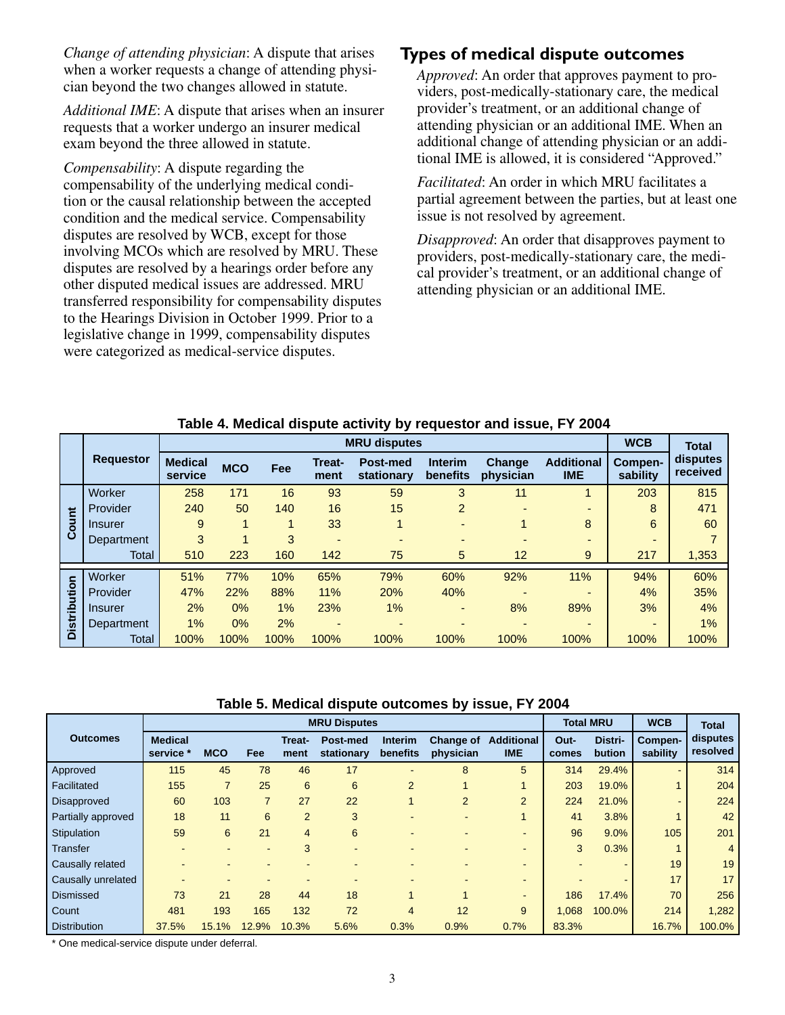*Change of attending physician*: A dispute that arises when a worker requests a change of attending physician beyond the two changes allowed in statute.

*Additional IME*: A dispute that arises when an insurer requests that a worker undergo an insurer medical exam beyond the three allowed in statute.

*Compensability*: A dispute regarding the compensability of the underlying medical condition or the causal relationship between the accepted condition and the medical service. Compensability disputes are resolved by WCB, except for those involving MCOs which are resolved by MRU. These disputes are resolved by a hearings order before any other disputed medical issues are addressed. MRU transferred responsibility for compensability disputes to the Hearings Division in October 1999. Prior to a legislative change in 1999, compensability disputes were categorized as medical-service disputes.

## **Types of medical dispute outcomes**

*Approved*: An order that approves payment to providers, post-medically-stationary care, the medical provider's treatment, or an additional change of attending physician or an additional IME. When an additional change of attending physician or an additional IME is allowed, it is considered "Approved."

*Facilitated*: An order in which MRU facilitates a partial agreement between the parties, but at least one issue is not resolved by agreement.

*Disapproved*: An order that disapproves payment to providers, post-medically-stationary care, the medical provider's treatment, or an additional change of attending physician or an additional IME.

|                     |                  | <b>WCB</b>                | <b>Total</b> |      |                       |                        |                            |                            |                                 |                          |                      |
|---------------------|------------------|---------------------------|--------------|------|-----------------------|------------------------|----------------------------|----------------------------|---------------------------------|--------------------------|----------------------|
|                     | <b>Requestor</b> | <b>Medical</b><br>service | <b>MCO</b>   | Fee  | <b>Treat-</b><br>ment | Post-med<br>stationary | <b>Interim</b><br>benefits | <b>Change</b><br>physician | <b>Additional</b><br><b>IME</b> | Compen-<br>sability      | disputes<br>received |
|                     | Worker           | 258                       | 171          | 16   | 93                    | 59                     | 3                          | 11                         |                                 | 203                      | 815                  |
|                     | Provider         | 240                       | 50           | 140  | 16                    | 15                     | 2                          | $\overline{\phantom{0}}$   | $\overline{\phantom{0}}$        | 8                        | 471                  |
| Count               | Insurer          | 9                         | 1            |      | 33                    | 1                      | $\overline{\phantom{0}}$   |                            | 8                               | 6                        | 60                   |
|                     | Department       | 3                         |              | 3    | -                     |                        |                            |                            | $\overline{\phantom{0}}$        | -                        |                      |
|                     | Total            | 510                       | 223          | 160  | 142                   | 75                     | 5                          | 12                         | 9                               | 217                      | 1,353                |
|                     | Worker           | 51%                       | 77%          | 10%  | 65%                   | 79%                    | 60%                        | 92%                        | 11%                             | 94%                      | 60%                  |
|                     | Provider         | 47%                       | 22%          | 88%  | 11%                   | 20%                    | 40%                        |                            | $\overline{\phantom{0}}$        | 4%                       | 35%                  |
| <b>Distribution</b> | Insurer          | 2%                        | 0%           | 1%   | 23%                   | 1%                     | $\overline{\phantom{0}}$   | 8%                         | 89%                             | 3%                       | 4%                   |
|                     | Department       | 1%                        | 0%           | 2%   | -                     | ۰                      | $\overline{\phantom{0}}$   |                            | -                               | $\overline{\phantom{0}}$ | 1%                   |
|                     | Total            | 100%                      | 100%         | 100% | 100%                  | 100%                   | 100%                       | 100%                       | 100%                            | 100%                     | 100%                 |

#### **Table 4. Medical dispute activity by requestor and issue, FY 2004**

**Table 5. Medical dispute outcomes by issue, FY 2004**

|                     |                             |                |                | <b>MRU Disputes</b>   |                        | <b>Total MRU</b>           |                               | <b>WCB</b>                      | <b>Total</b>  |                   |                     |                      |
|---------------------|-----------------------------|----------------|----------------|-----------------------|------------------------|----------------------------|-------------------------------|---------------------------------|---------------|-------------------|---------------------|----------------------|
| <b>Outcomes</b>     | <b>Medical</b><br>service * | <b>MCO</b>     | Fee            | <b>Treat-</b><br>ment | Post-med<br>stationary | <b>Interim</b><br>benefits | <b>Change of</b><br>physician | <b>Additional</b><br><b>IME</b> | Out-<br>comes | Distri-<br>bution | Compen-<br>sability | disputes<br>resolved |
| Approved            | 115                         | 45             | 78             | 46                    | 17                     |                            | 8                             | 5                               | 314           | 29.4%             | ٠                   | 314                  |
| Facilitated         | 155                         | $\overline{7}$ | 25             | 6                     | 6                      | $\overline{2}$             |                               |                                 | 203           | 19.0%             |                     | 204                  |
| Disapproved         | 60                          | 103            | $\overline{7}$ | 27                    | 22                     |                            | $\overline{2}$                | $\overline{2}$                  | 224           | 21.0%             | -                   | 224                  |
| Partially approved  | 18                          | 11             | 6              | $\overline{2}$        | 3                      | -                          | -                             | 1                               | 41            | 3.8%              |                     | 42                   |
| Stipulation         | 59                          | 6              | 21             | 4                     | 6                      |                            |                               | $\overline{\phantom{a}}$        | 96            | 9.0%              | 105                 | 201                  |
| <b>Transfer</b>     |                             |                |                | 3                     | -                      |                            |                               | $\overline{\phantom{a}}$        | 3             | 0.3%              |                     | $\overline{4}$       |
| Causally related    |                             |                |                |                       |                        |                            |                               |                                 |               |                   | 19                  | 19                   |
| Causally unrelated  |                             |                |                |                       |                        |                            |                               | $\overline{\phantom{a}}$        |               |                   | 17                  | 17                   |
| <b>Dismissed</b>    | 73                          | 21             | 28             | 44                    | 18                     |                            | 4                             | $\overline{\phantom{a}}$        | 186           | 17.4%             | 70                  | 256                  |
| Count               | 481                         | 193            | 165            | 132                   | 72                     | 4                          | 12                            | 9                               | 1.068         | 100.0%            | 214                 | 1,282                |
| <b>Distribution</b> | 37.5%                       | 15.1%          | 12.9%          | 10.3%                 | 5.6%                   | 0.3%                       | 0.9%                          | 0.7%                            | 83.3%         |                   | 16.7%               | 100.0%               |

\* One medical-service dispute under deferral.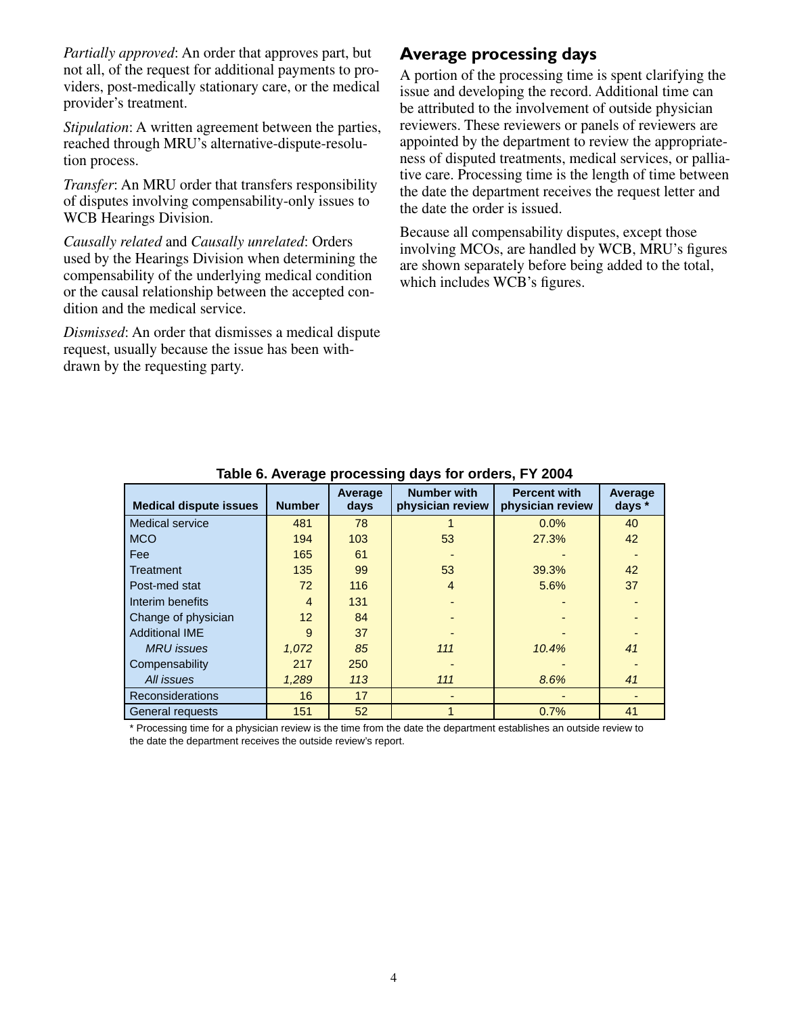*Partially approved*: An order that approves part, but not all, of the request for additional payments to providers, post-medically stationary care, or the medical provider's treatment.

*Stipulation*: A written agreement between the parties, reached through MRU's alternative-dispute-resolution process.

*Transfer*: An MRU order that transfers responsibility of disputes involving compensability-only issues to WCB Hearings Division.

*Causally related* and *Causally unrelated*: Orders used by the Hearings Division when determining the compensability of the underlying medical condition or the causal relationship between the accepted condition and the medical service.

*Dismissed*: An order that dismisses a medical dispute request, usually because the issue has been withdrawn by the requesting party.

## **Average processing days**

A portion of the processing time is spent clarifying the issue and developing the record. Additional time can be attributed to the involvement of outside physician reviewers. These reviewers or panels of reviewers are appointed by the department to review the appropriateness of disputed treatments, medical services, or palliative care. Processing time is the length of time between the date the department receives the request letter and the date the order is issued.

Because all compensability disputes, except those involving MCOs, are handled by WCB, MRU's figures are shown separately before being added to the total, which includes WCB's figures.

| <b>Medical dispute issues</b> | <b>Number</b>   | Average<br>days | <b>Number with</b><br>physician review | <b>Percent with</b><br>physician review | Average<br>days * |
|-------------------------------|-----------------|-----------------|----------------------------------------|-----------------------------------------|-------------------|
| <b>Medical service</b>        | 481             | 78              |                                        | 0.0%                                    | 40                |
| <b>MCO</b>                    | 194             | 103             | 53                                     | 27.3%                                   | 42                |
| <b>Fee</b>                    | 165             | 61              |                                        |                                         |                   |
| Treatment                     | 135             | 99              | 53                                     | 39.3%                                   | 42                |
| Post-med stat                 | 72              | 116             | 4                                      | 5.6%                                    | 37                |
| Interim benefits              | $\overline{4}$  | 131             |                                        |                                         |                   |
| Change of physician           | 12 <sup>2</sup> | 84              |                                        |                                         |                   |
| <b>Additional IME</b>         | 9               | 37              |                                        |                                         |                   |
| <b>MRU</b> issues             | 1,072           | 85              | 111                                    | 10.4%                                   | 41                |
| Compensability                | 217             | 250             |                                        |                                         |                   |
| All issues                    | 1.289           | 113             | 111                                    | 8.6%                                    | 41                |
| <b>Reconsiderations</b>       | 16              | 17              |                                        |                                         |                   |
| General requests              | 151             | 52              |                                        | 0.7%                                    | 41                |

**Table 6. Average processing days for orders, FY 2004**

\* Processing time for a physician review is the time from the date the department establishes an outside review to the date the department receives the outside review's report.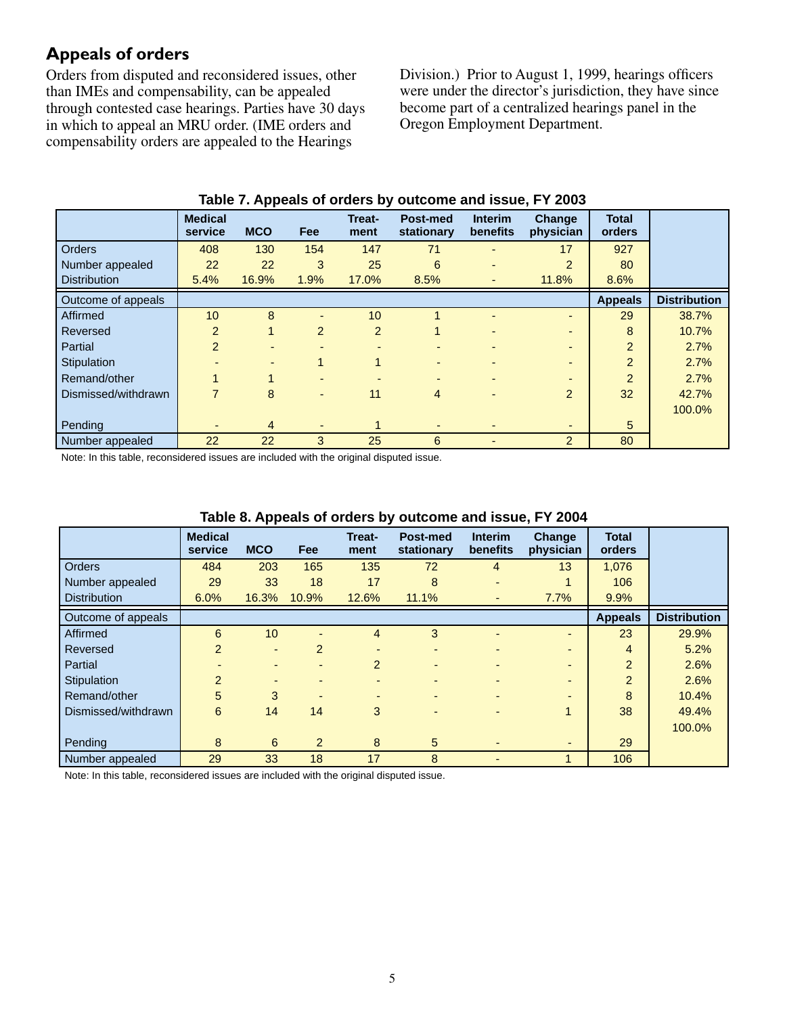# **Appeals of orders**

Orders from disputed and reconsidered issues, other than IMEs and compensability, can be appealed through contested case hearings. Parties have 30 days in which to appeal an MRU order. (IME orders and compensability orders are appealed to the Hearings

Division.) Prior to August 1, 1999, hearings officers were under the director's jurisdiction, they have since become part of a centralized hearings panel in the Oregon Employment Department.

|                     | <b>Medical</b><br>service | <b>MCO</b>     | <b>Fee</b>               | Treat-<br>ment | Post-med<br>stationary   | <b>Interim</b><br>benefits | <b>Change</b><br>physician | <b>Total</b><br>orders |                     |
|---------------------|---------------------------|----------------|--------------------------|----------------|--------------------------|----------------------------|----------------------------|------------------------|---------------------|
| <b>Orders</b>       | 408                       | 130            | 154                      | 147            | 71                       |                            | 17                         | 927                    |                     |
| Number appealed     | 22                        | 22             | 3                        | 25             | 6                        |                            | 2                          | 80                     |                     |
| <b>Distribution</b> | 5.4%                      | 16.9%          | 1.9%                     | 17.0%          | 8.5%                     | $\overline{\phantom{0}}$   | 11.8%                      | 8.6%                   |                     |
| Outcome of appeals  |                           |                |                          |                |                          |                            |                            | <b>Appeals</b>         | <b>Distribution</b> |
| Affirmed            | 10                        | 8              |                          | 10             |                          |                            | -                          | 29                     | 38.7%               |
| Reversed            | $\overline{2}$            | $\mathbf{1}$   | $\overline{2}$           | $\overline{2}$ |                          |                            | $\overline{\phantom{0}}$   | 8                      | 10.7%               |
| Partial             | $\overline{2}$            |                | $\overline{\phantom{0}}$ |                |                          |                            |                            | $\overline{2}$         | 2.7%                |
| Stipulation         |                           |                |                          | 1              | $\overline{\phantom{0}}$ |                            | $\blacksquare$             | 2                      | 2.7%                |
| Remand/other        | 1                         |                | $\overline{\phantom{0}}$ |                | $\overline{\phantom{0}}$ |                            | $\blacksquare$             | 2                      | 2.7%                |
| Dismissed/withdrawn | 7                         | 8              | $\overline{\phantom{a}}$ | 11             | 4                        | $\overline{\phantom{a}}$   | $\overline{2}$             | 32                     | 42.7%               |
|                     |                           |                |                          |                |                          |                            |                            |                        | 100.0%              |
| Pending             |                           | $\overline{4}$ | $\overline{\phantom{a}}$ |                | ٠                        |                            | ٠                          | $5\phantom{.0}$        |                     |
| Number appealed     | 22                        | 22             | 3                        | 25             | 6                        |                            | $\overline{2}$             | 80                     |                     |

#### **Table 7. Appeals of orders by outcome and issue, FY 2003**

Note: In this table, reconsidered issues are included with the original disputed issue.

|                     | <b>Medical</b><br>service | . .<br><b>MCO</b>        | Fee                      | Treat-<br>ment           | Post-med<br>stationary   | <b>Interim</b><br>benefits | <b>Change</b><br>physician | <b>Total</b><br>orders |                     |
|---------------------|---------------------------|--------------------------|--------------------------|--------------------------|--------------------------|----------------------------|----------------------------|------------------------|---------------------|
| <b>Orders</b>       | 484                       | 203                      | 165                      | 135                      | 72                       | $\overline{4}$             | 13                         | 1,076                  |                     |
| Number appealed     | 29                        | 33                       | 18                       | 17                       | 8                        | $\overline{\phantom{0}}$   |                            | 106                    |                     |
| <b>Distribution</b> | 6.0%                      | 16.3%                    | 10.9%                    | 12.6%                    | 11.1%                    |                            | 7.7%                       | 9.9%                   |                     |
| Outcome of appeals  |                           |                          |                          |                          |                          |                            |                            | <b>Appeals</b>         | <b>Distribution</b> |
| Affirmed            | 6                         | 10 <sup>°</sup>          |                          | 4                        | 3                        |                            | $\overline{\phantom{0}}$   | 23                     | 29.9%               |
| Reversed            | $\overline{2}$            | $\overline{\phantom{a}}$ | $\overline{2}$           |                          |                          |                            | $\overline{\phantom{0}}$   | 4                      | 5.2%                |
| Partial             |                           | $\overline{\phantom{0}}$ | $\blacksquare$           | $\overline{2}$           | $\blacksquare$           |                            | $\overline{\phantom{0}}$   | $\overline{2}$         | 2.6%                |
| Stipulation         | $\overline{2}$            | $\overline{\phantom{0}}$ | $\overline{\phantom{0}}$ | $\overline{\phantom{0}}$ | $\overline{\phantom{0}}$ | $\overline{\phantom{0}}$   | $\overline{\phantom{0}}$   | $\overline{2}$         | 2.6%                |
| Remand/other        | 5                         | 3                        |                          |                          | $\overline{\phantom{0}}$ |                            | $\overline{\phantom{0}}$   | 8                      | 10.4%               |
| Dismissed/withdrawn | 6                         | 14                       | 14                       | 3                        |                          |                            |                            | 38                     | 49.4%               |
|                     |                           |                          |                          |                          |                          |                            |                            |                        | 100.0%              |
| Pending             | 8                         | 6                        | $\overline{2}$           | 8                        | 5                        | ٠                          | ٠                          | 29                     |                     |
| Number appealed     | 29                        | 33                       | 18                       | 17                       | 8                        |                            |                            | 106                    |                     |

#### **Table 8. Appeals of orders by outcome and issue, FY 2004**

Note: In this table, reconsidered issues are included with the original disputed issue.